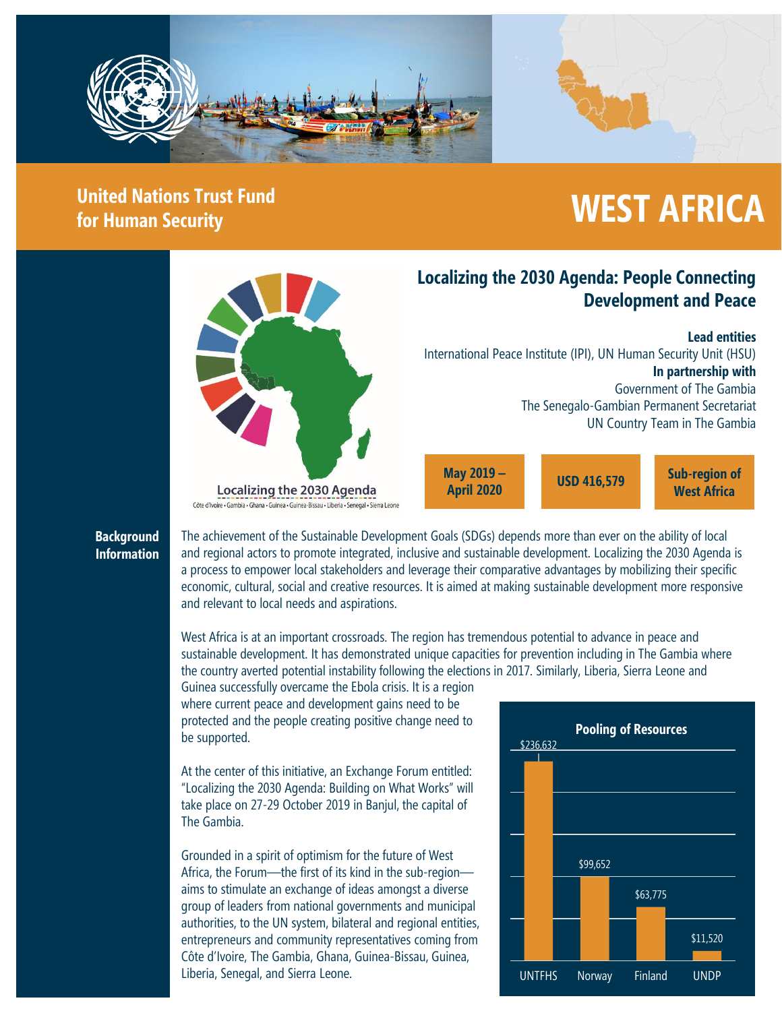

# **United Nations Trust Fund**

## United Nations Trust Fund<br>for Human Security



Côte d'Ivoire • Gambia • Ghana • Guinea • Guinea • Bissau • Liberia • Senegal • Sierra Leone

**Localizing the 2030 Agenda: People Connecting Development and Peace**

**Lead entities**

International Peace Institute (IPI), UN Human Security Unit (HSU) **In partnership with** Government of The Gambia The Senegalo-Gambian Permanent Secretariat UN Country Team in The Gambia

**April 2020**

**Sub-region of West Africa USD 416,579 May 2019 –**

#### **Background Information**

The achievement of the Sustainable Development Goals (SDGs) depends more than ever on the ability of local and regional actors to promote integrated, inclusive and sustainable development. Localizing the 2030 Agenda is a process to empower local stakeholders and leverage their comparative advantages by mobilizing their specific economic, cultural, social and creative resources. It is aimed at making sustainable development more responsive and relevant to local needs and aspirations.

West Africa is at an important crossroads. The region has tremendous potential to advance in peace and sustainable development. It has demonstrated unique capacities for prevention including in The Gambia where the country averted potential instability following the elections in 2017. Similarly, Liberia, Sierra Leone and

Guinea successfully overcame the Ebola crisis. It is a region where current peace and development gains need to be protected and the people creating positive change need to be supported.

At the center of this initiative, an Exchange Forum entitled: "Localizing the 2030 Agenda: Building on What Works" will take place on 27-29 October 2019 in Banjul, the capital of The Gambia.

Grounded in a spirit of optimism for the future of West Africa, the Forum—the first of its kind in the sub-region aims to stimulate an exchange of ideas amongst a diverse group of leaders from national governments and municipal authorities, to the UN system, bilateral and regional entities, entrepreneurs and community representatives coming from Côte d'Ivoire, The Gambia, Ghana, Guinea-Bissau, Guinea, Liberia, Senegal, and Sierra Leone.